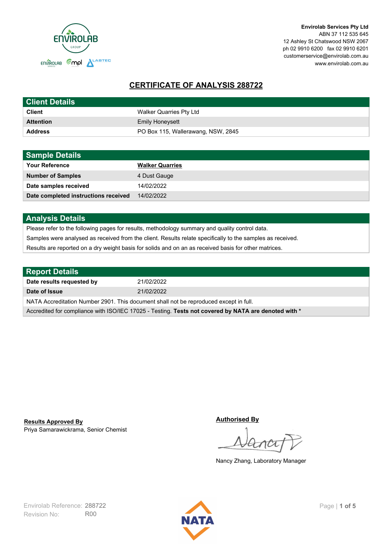

**Envirolab Services Pty Ltd** ABN 37 112 535 645 12 Ashley St Chatswood NSW 2067 ph 02 9910 6200 fax 02 9910 6201 customerservice@envirolab.com.au www.envirolab.com.au

# **CERTIFICATE OF ANALYSIS 288722**

| <b>Client Details</b> |                                    |
|-----------------------|------------------------------------|
| <b>Client</b>         | Walker Quarries Pty Ltd            |
| <b>Attention</b>      | <b>Emily Honeysett</b>             |
| <b>Address</b>        | PO Box 115, Wallerawang, NSW, 2845 |

| <b>Sample Details</b>                |                        |
|--------------------------------------|------------------------|
| <b>Your Reference</b>                | <b>Walker Quarries</b> |
| <b>Number of Samples</b>             | 4 Dust Gauge           |
| Date samples received                | 14/02/2022             |
| Date completed instructions received | 14/02/2022             |

## **Analysis Details**

Please refer to the following pages for results, methodology summary and quality control data.

Samples were analysed as received from the client. Results relate specifically to the samples as received.

Results are reported on a dry weight basis for solids and on an as received basis for other matrices.

| <b>Report Details</b>                                                                                |            |  |
|------------------------------------------------------------------------------------------------------|------------|--|
| Date results requested by                                                                            | 21/02/2022 |  |
| Date of Issue                                                                                        | 21/02/2022 |  |
| NATA Accreditation Number 2901. This document shall not be reproduced except in full.                |            |  |
| Accredited for compliance with ISO/IEC 17025 - Testing. Tests not covered by NATA are denoted with * |            |  |

Priya Samarawickrama, Senior Chemist **Results Approved By**

**Authorised By**

Nancy Zhang, Laboratory Manager

Revision No: R00 Envirolab Reference: 288722 Page | 1 of 5

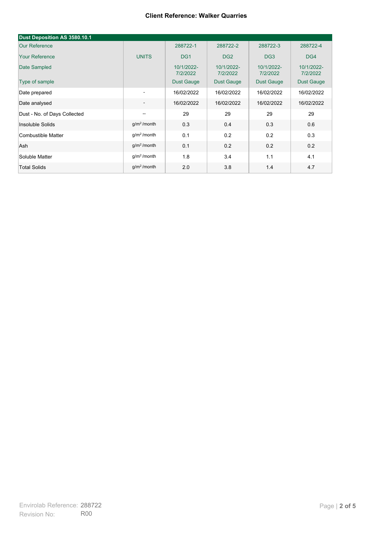| Dust Deposition AS 3580.10.1 |                          |                        |                        |                        |                        |
|------------------------------|--------------------------|------------------------|------------------------|------------------------|------------------------|
| <b>Our Reference</b>         |                          | 288722-1               | 288722-2               | 288722-3               | 288722-4               |
| <b>Your Reference</b>        | <b>UNITS</b>             | DG <sub>1</sub>        | DG <sub>2</sub>        | DG <sub>3</sub>        | DG4                    |
| Date Sampled                 |                          | 10/1/2022-<br>7/2/2022 | 10/1/2022-<br>7/2/2022 | 10/1/2022-<br>7/2/2022 | 10/1/2022-<br>7/2/2022 |
| Type of sample               |                          | <b>Dust Gauge</b>      | <b>Dust Gauge</b>      | <b>Dust Gauge</b>      | Dust Gauge             |
| Date prepared                | $\overline{\phantom{a}}$ | 16/02/2022             | 16/02/2022             | 16/02/2022             | 16/02/2022             |
| Date analysed                | $\overline{\phantom{a}}$ | 16/02/2022             | 16/02/2022             | 16/02/2022             | 16/02/2022             |
| Dust - No. of Days Collected | $\overline{\phantom{a}}$ | 29                     | 29                     | 29                     | 29                     |
| Insoluble Solids             | g/m <sup>2</sup> /month  | 0.3                    | 0.4                    | 0.3                    | 0.6                    |
| Combustible Matter           | g/m <sup>2</sup> /month  | 0.1                    | 0.2                    | 0.2                    | 0.3                    |
| Ash                          | $q/m^2$ /month           | 0.1                    | 0.2                    | 0.2                    | 0.2                    |
| Soluble Matter               | g/m <sup>2</sup> /month  | 1.8                    | 3.4                    | 1.1                    | 4.1                    |
| <b>Total Solids</b>          | g/m <sup>2</sup> /month  | 2.0                    | 3.8                    | 1.4                    | 4.7                    |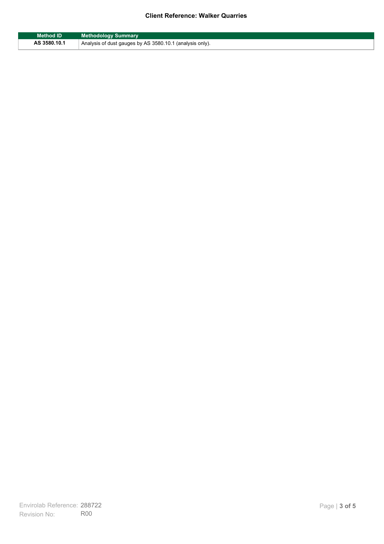| Method ID    | <b>Methodology Summary</b>                                            |
|--------------|-----------------------------------------------------------------------|
| AS 3580.10.1 | <sup>1</sup> Analysis of dust gauges by AS 3580.10.1 (analysis only). |

F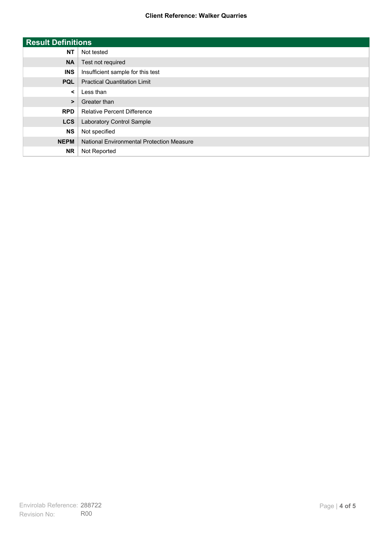| <b>Result Definitions</b> |                                           |
|---------------------------|-------------------------------------------|
| <b>NT</b>                 | Not tested                                |
| <b>NA</b>                 | Test not required                         |
| <b>INS</b>                | Insufficient sample for this test         |
| <b>PQL</b>                | <b>Practical Quantitation Limit</b>       |
| $\prec$                   | Less than                                 |
| $\geq$                    | Greater than                              |
| <b>RPD</b>                | <b>Relative Percent Difference</b>        |
| <b>LCS</b>                | Laboratory Control Sample                 |
| <b>NS</b>                 | Not specified                             |
| <b>NEPM</b>               | National Environmental Protection Measure |
| <b>NR</b>                 | Not Reported                              |